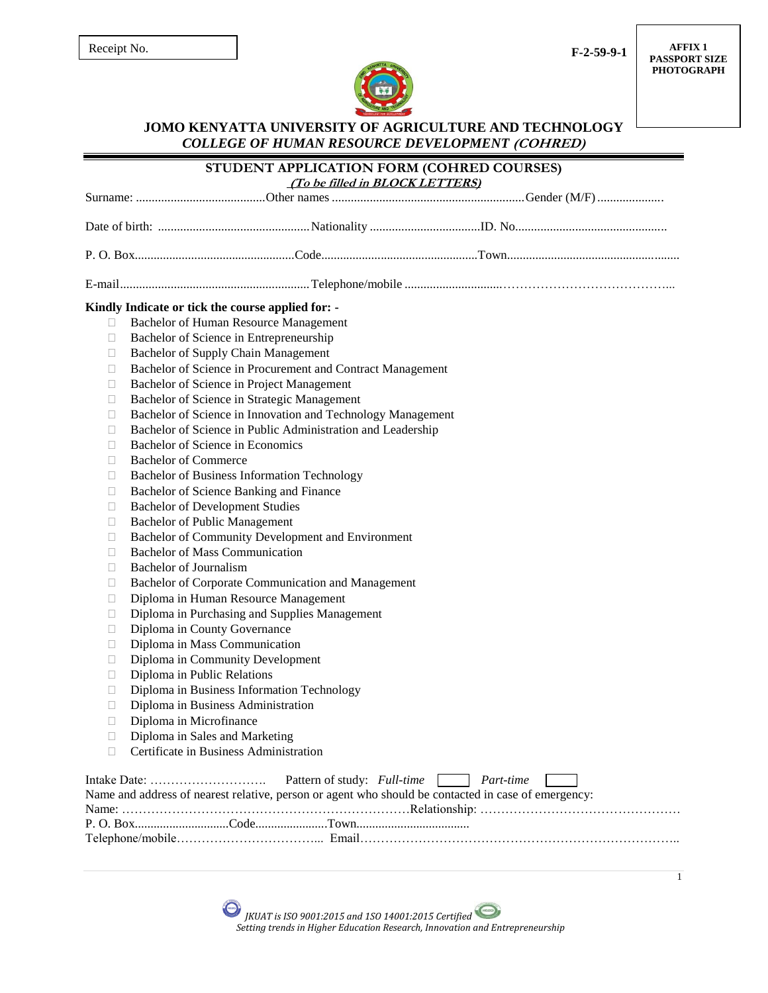**F-2-59-9-1**

**AFFIX 1 PASSPORT SIZE PHOTOGRAPH**



*COLLEGE OF HUMAN RESOURCE DEVELOPMENT* **(COHRED)**

|        | STUDENT APPLICATION FORM (COHRED COURSES)<br>(To be filled in BLOCK LETTERS)                                                       |              |  |  |  |
|--------|------------------------------------------------------------------------------------------------------------------------------------|--------------|--|--|--|
|        |                                                                                                                                    |              |  |  |  |
|        |                                                                                                                                    |              |  |  |  |
|        |                                                                                                                                    |              |  |  |  |
|        |                                                                                                                                    |              |  |  |  |
|        | Kindly Indicate or tick the course applied for: -                                                                                  |              |  |  |  |
| $\Box$ | Bachelor of Human Resource Management                                                                                              |              |  |  |  |
| П      | Bachelor of Science in Entrepreneurship                                                                                            |              |  |  |  |
| Ш      | Bachelor of Supply Chain Management                                                                                                |              |  |  |  |
| u      | Bachelor of Science in Procurement and Contract Management                                                                         |              |  |  |  |
| u      | Bachelor of Science in Project Management                                                                                          |              |  |  |  |
| u      | Bachelor of Science in Strategic Management                                                                                        |              |  |  |  |
| u      | Bachelor of Science in Innovation and Technology Management                                                                        |              |  |  |  |
| u      | Bachelor of Science in Public Administration and Leadership                                                                        |              |  |  |  |
| □      | Bachelor of Science in Economics                                                                                                   |              |  |  |  |
| П      | <b>Bachelor of Commerce</b>                                                                                                        |              |  |  |  |
| □      | Bachelor of Business Information Technology                                                                                        |              |  |  |  |
| □      | Bachelor of Science Banking and Finance                                                                                            |              |  |  |  |
| □      | <b>Bachelor of Development Studies</b>                                                                                             |              |  |  |  |
| □      | <b>Bachelor of Public Management</b>                                                                                               |              |  |  |  |
| □      | Bachelor of Community Development and Environment                                                                                  |              |  |  |  |
| П      | <b>Bachelor of Mass Communication</b>                                                                                              |              |  |  |  |
| □      | <b>Bachelor</b> of Journalism                                                                                                      |              |  |  |  |
| u      | Bachelor of Corporate Communication and Management                                                                                 |              |  |  |  |
| □      | Diploma in Human Resource Management                                                                                               |              |  |  |  |
| □      | Diploma in Purchasing and Supplies Management                                                                                      |              |  |  |  |
| u      | Diploma in County Governance                                                                                                       |              |  |  |  |
| П      | Diploma in Mass Communication                                                                                                      |              |  |  |  |
| □      | Diploma in Community Development                                                                                                   |              |  |  |  |
| □      | Diploma in Public Relations                                                                                                        |              |  |  |  |
| □      | Diploma in Business Information Technology                                                                                         |              |  |  |  |
| □      | Diploma in Business Administration                                                                                                 |              |  |  |  |
| □      | Diploma in Microfinance                                                                                                            |              |  |  |  |
|        | Diploma in Sales and Marketing                                                                                                     |              |  |  |  |
| П      | Certificate in Business Administration                                                                                             |              |  |  |  |
|        | Pattern of study: Full-time<br>Name and address of nearest relative, person or agent who should be contacted in case of emergency: | Part-time    |  |  |  |
|        |                                                                                                                                    |              |  |  |  |
|        |                                                                                                                                    |              |  |  |  |
|        |                                                                                                                                    |              |  |  |  |
|        |                                                                                                                                    | $\mathbf{1}$ |  |  |  |